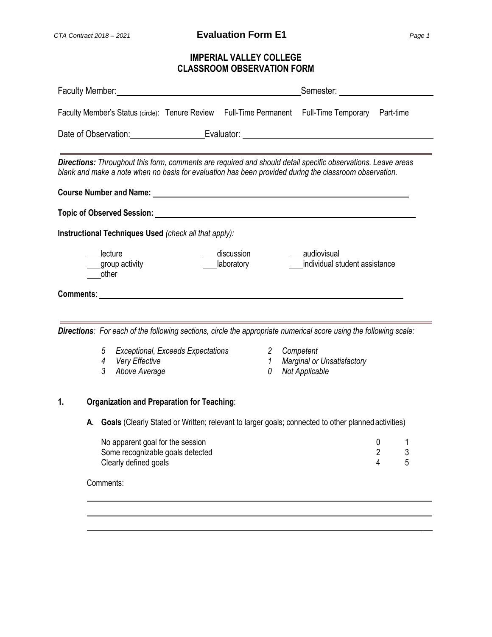# **IMPERIAL VALLEY COLLEGE CLASSROOM OBSERVATION FORM**

| Faculty Member: Management of the Contract of the Contract of the Contract of the Contract of the Contract of the Contract of the Contract of the Contract of the Contract of the Contract of the Contract of the Contract of      | Semester: <u>Communications</u>                                                                        |
|------------------------------------------------------------------------------------------------------------------------------------------------------------------------------------------------------------------------------------|--------------------------------------------------------------------------------------------------------|
| Faculty Member's Status (circle): Tenure Review Full-Time Permanent Full-Time Temporary Part-time                                                                                                                                  |                                                                                                        |
| Date of Observation: Contract Contract Evaluator: Contract Contract Contract Contract Contract Contract Contract Contract Contract Contract Contract Contract Contract Contract Contract Contract Contract Contract Contract C     |                                                                                                        |
| Directions: Throughout this form, comments are required and should detail specific observations. Leave areas<br>blank and make a note when no basis for evaluation has been provided during the classroom observation.             |                                                                                                        |
|                                                                                                                                                                                                                                    |                                                                                                        |
| Instructional Techniques Used (check all that apply):                                                                                                                                                                              |                                                                                                        |
| lecture<br>discussion<br>laboratory<br>group activity<br>other                                                                                                                                                                     | audiovisual<br>individual student assistance                                                           |
| Comments: <u>comments:</u> comments: comments: comments: comments: comments: comments: comments: comments: comments: comments: comments: comments: comments: comments: comments: comments: comments: comments: comments: comments: |                                                                                                        |
| Directions: For each of the following sections, circle the appropriate numerical score using the following scale:                                                                                                                  |                                                                                                        |
| <b>Exceptional, Exceeds Expectations</b><br>5<br>Very Effective<br>4<br>3<br>Above Average                                                                                                                                         | Competent<br>$\mathbf{2}$<br><b>Marginal or Unsatisfactory</b><br>$\mathcal{I}$<br>Not Applicable<br>0 |
| <b>Organization and Preparation for Teaching:</b><br>1.                                                                                                                                                                            |                                                                                                        |
| Goals (Clearly Stated or Written; relevant to larger goals; connected to other planned activities)<br>А.                                                                                                                           |                                                                                                        |
| No apparent goal for the session<br>Some recognizable goals detected<br>Clearly defined goals                                                                                                                                      | 0<br>1<br>2<br>3<br>5<br>4                                                                             |
| Comments:                                                                                                                                                                                                                          |                                                                                                        |
|                                                                                                                                                                                                                                    |                                                                                                        |
|                                                                                                                                                                                                                                    |                                                                                                        |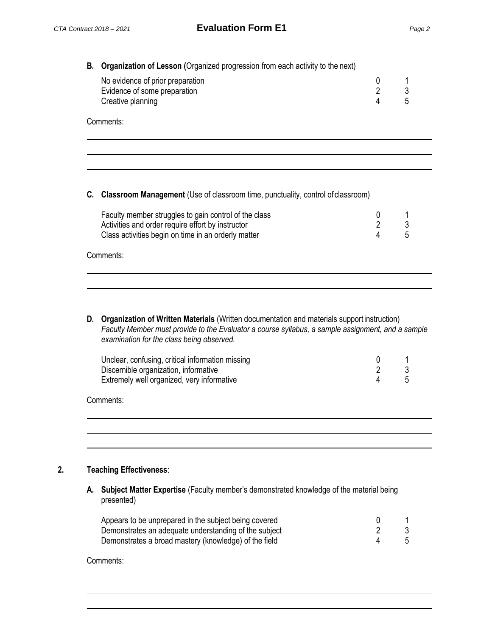| <b>B.</b> Organization of Lesson (Organized progression from each activity to the next) |                                  |   |    |
|-----------------------------------------------------------------------------------------|----------------------------------|---|----|
|                                                                                         | No evidence of prior preparation |   |    |
|                                                                                         | Evidence of some preparation     |   |    |
|                                                                                         | Creative planning                | 4 | :5 |
|                                                                                         | Comments:                        |   |    |

### **C. Classroom Management** (Use of classroom time, punctuality, control of classroom)

| Faculty member struggles to gain control of the class |  |
|-------------------------------------------------------|--|
| Activities and order require effort by instructor     |  |
| Class activities begin on time in an orderly matter   |  |

#### Comments:

**D. Organization of Written Materials** (Written documentation and materials support instruction) *Faculty Member must provide to the Evaluator a course syllabus, a sample assignment, and a sample examination for the class being observed.*

| Unclear, confusing, critical information missing |  |
|--------------------------------------------------|--|
| Discernible organization, informative            |  |
| Extremely well organized, very informative       |  |

Comments:

## **2. Teaching Effectiveness**:

**A. Subject Matter Expertise** (Faculty member's demonstrated knowledge of the material being presented)

| Appears to be unprepared in the subject being covered |  |
|-------------------------------------------------------|--|
| Demonstrates an adequate understanding of the subject |  |
| Demonstrates a broad mastery (knowledge) of the field |  |

Comments: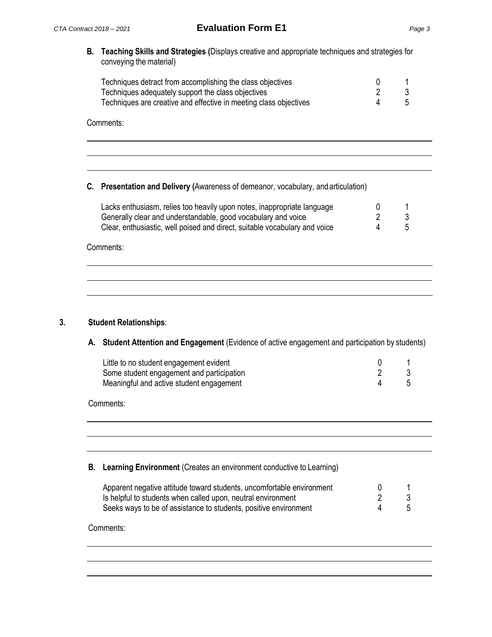**B. Teaching Skills and Strategies (**Displays creative and appropriate techniques and strategies for conveying the material)

| Techniques detract from accomplishing the class objectives        |    |
|-------------------------------------------------------------------|----|
| Techniques adequately support the class objectives                |    |
| Techniques are creative and effective in meeting class objectives | .5 |

Comments:

# **C. Presentation and Delivery (**Awareness of demeanor, vocabulary, andarticulation)

| Lacks enthusiasm, relies too heavily upon notes, inappropriate language    |   |    |
|----------------------------------------------------------------------------|---|----|
| Generally clear and understandable, good vocabulary and voice              |   |    |
| Clear, enthusiastic, well poised and direct, suitable vocabulary and voice | 4 | -5 |

Comments:

# **3. Student Relationships**:

#### **A. Student Attention and Engagement** (Evidence of active engagement and participation by students)

| Little to no student engagement evident   |  |
|-------------------------------------------|--|
| Some student engagement and participation |  |
| Meaningful and active student engagement  |  |

Comments:

|  | <b>B.</b> Learning Environment (Creates an environment conductive to Learning) |  |  |  |  |
|--|--------------------------------------------------------------------------------|--|--|--|--|
|--|--------------------------------------------------------------------------------|--|--|--|--|

| Apparent negative attitude toward students, uncomfortable environment |  |
|-----------------------------------------------------------------------|--|
| Is helpful to students when called upon, neutral environment          |  |
| Seeks ways to be of assistance to students, positive environment      |  |

Comments: